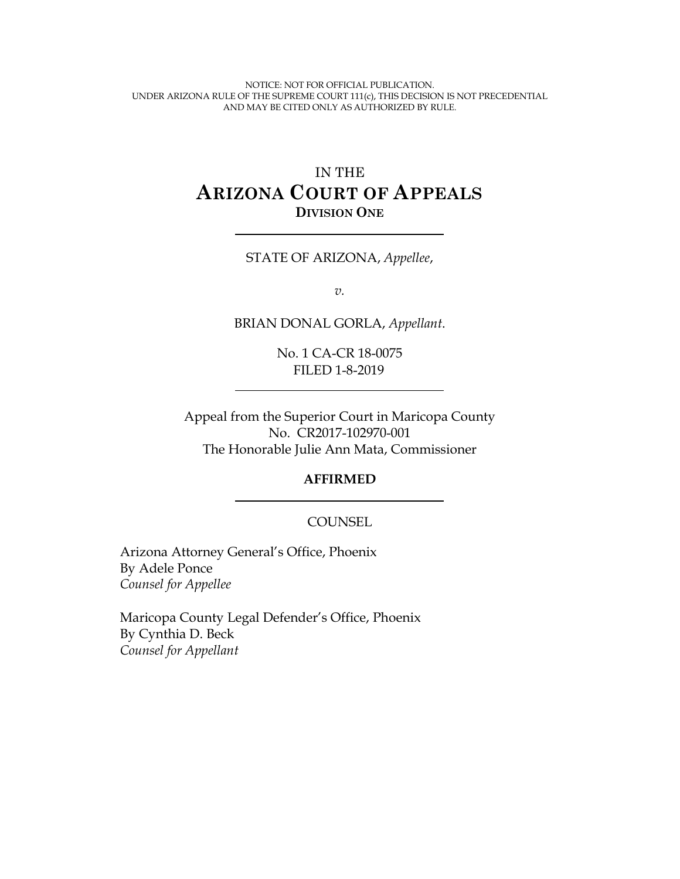NOTICE: NOT FOR OFFICIAL PUBLICATION. UNDER ARIZONA RULE OF THE SUPREME COURT 111(c), THIS DECISION IS NOT PRECEDENTIAL AND MAY BE CITED ONLY AS AUTHORIZED BY RULE.

# IN THE **ARIZONA COURT OF APPEALS DIVISION ONE**

#### STATE OF ARIZONA, *Appellee*,

*v.*

BRIAN DONAL GORLA, *Appellant*.

No. 1 CA-CR 18-0075 FILED 1-8-2019

Appeal from the Superior Court in Maricopa County No. CR2017-102970-001 The Honorable Julie Ann Mata, Commissioner

#### **AFFIRMED**

#### COUNSEL

Arizona Attorney General's Office, Phoenix By Adele Ponce *Counsel for Appellee*

Maricopa County Legal Defender's Office, Phoenix By Cynthia D. Beck *Counsel for Appellant*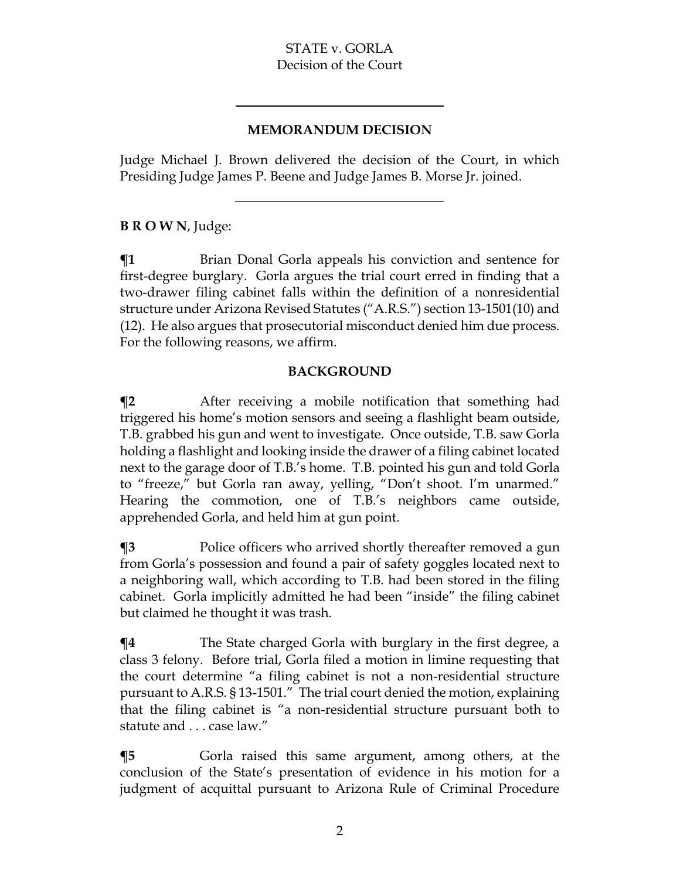#### **MEMORANDUM DECISION**

Judge Michael J. Brown delivered the decision of the Court, in which Presiding Judge James P. Beene and Judge James B. Morse Jr. joined.

# **B R O W N**, Judge:

 $\P$ **1** Brian Donal Gorla appeals his conviction and sentence for first-degree burglary. Gorla argues the trial court erred in finding that a two-drawer filing cabinet falls within the definition of a nonresidential structure under Arizona Revised Statutes ("A.R.S.") section 13-1501(10) and (12). He also argues that prosecutorial misconduct denied him due process. For the following reasons, we affirm.

#### **BACKGROUND**

**¶2** After receiving a mobile notification that something had triggered his home's motion sensors and seeing a flashlight beam outside, T.B. grabbed his gun and went to investigate. Once outside, T.B. saw Gorla holding a flashlight and looking inside the drawer of a filing cabinet located next to the garage door of T.B.'s home. T.B. pointed his gun and told Gorla to "freeze," but Gorla ran away, yelling, "Don't shoot. I'm unarmed." Hearing the commotion, one of T.B.'s neighbors came outside, apprehended Gorla, and held him at gun point.

**¶3** Police officers who arrived shortly thereafter removed a gun from Gorla's possession and found a pair of safety goggles located next to a neighboring wall, which according to T.B. had been stored in the filing cabinet. Gorla implicitly admitted he had been "inside" the filing cabinet but claimed he thought it was trash.

**¶4** The State charged Gorla with burglary in the first degree, a class 3 felony. Before trial, Gorla filed a motion in limine requesting that the court determine "a filing cabinet is not a non-residential structure pursuant to A.R.S. § 13-1501." The trial court denied the motion, explaining that the filing cabinet is "a non-residential structure pursuant both to statute and . . . case law."

**The Term** Gorla raised this same argument, among others, at the conclusion of the State's presentation of evidence in his motion for a judgment of acquittal pursuant to Arizona Rule of Criminal Procedure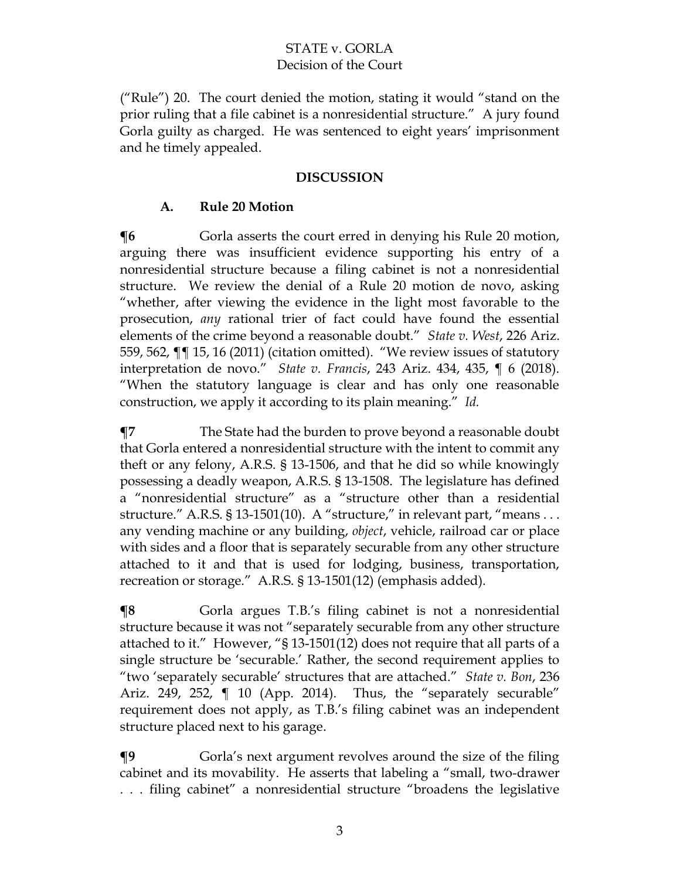("Rule") 20. The court denied the motion, stating it would "stand on the prior ruling that a file cabinet is a nonresidential structure." A jury found Gorla guilty as charged. He was sentenced to eight years' imprisonment and he timely appealed.

#### **DISCUSSION**

### **A. Rule 20 Motion**

**The Fig. 3** Gorla asserts the court erred in denying his Rule 20 motion, arguing there was insufficient evidence supporting his entry of a nonresidential structure because a filing cabinet is not a nonresidential structure. We review the denial of a Rule 20 motion de novo, asking "whether, after viewing the evidence in the light most favorable to the prosecution, *any* rational trier of fact could have found the essential elements of the crime beyond a reasonable doubt." *State v. West*, 226 Ariz. 559, 562, ¶¶ 15, 16 (2011) (citation omitted). "We review issues of statutory interpretation de novo." *State v. Francis*, 243 Ariz. 434, 435, ¶ 6 (2018). "When the statutory language is clear and has only one reasonable construction, we apply it according to its plain meaning." *Id.*

**¶7** The State had the burden to prove beyond a reasonable doubt that Gorla entered a nonresidential structure with the intent to commit any theft or any felony, A.R.S. § 13-1506, and that he did so while knowingly possessing a deadly weapon, A.R.S. § 13-1508.The legislature has defined a "nonresidential structure" as a "structure other than a residential structure." A.R.S. § 13-1501(10). A "structure," in relevant part, "means ... any vending machine or any building, *object*, vehicle, railroad car or place with sides and a floor that is separately securable from any other structure attached to it and that is used for lodging, business, transportation, recreation or storage." A.R.S. § 13-1501(12) (emphasis added).

**The Tema** Gorla argues T.B.'s filing cabinet is not a nonresidential structure because it was not "separately securable from any other structure attached to it." However, "§ 13-1501(12) does not require that all parts of a single structure be 'securable.' Rather, the second requirement applies to "two 'separately securable' structures that are attached." *State v. Bon*, 236 Ariz. 249, 252, ¶ 10 (App. 2014). Thus, the "separately securable" requirement does not apply, as T.B.'s filing cabinet was an independent structure placed next to his garage.

**¶9** Gorla's next argument revolves around the size of the filing cabinet and its movability. He asserts that labeling a "small, two-drawer . . . filing cabinet" a nonresidential structure "broadens the legislative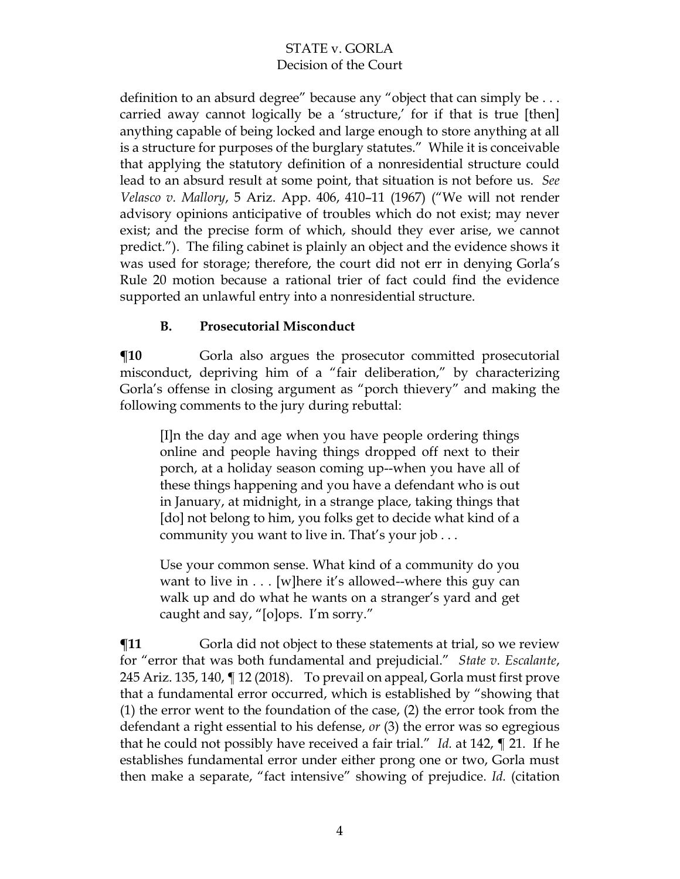definition to an absurd degree" because any "object that can simply be ... carried away cannot logically be a 'structure,' for if that is true [then] anything capable of being locked and large enough to store anything at all is a structure for purposes of the burglary statutes."While it is conceivable that applying the statutory definition of a nonresidential structure could lead to an absurd result at some point, that situation is not before us. *See Velasco v. Mallory*, 5 Ariz. App. 406, 410–11 (1967) ("We will not render advisory opinions anticipative of troubles which do not exist; may never exist; and the precise form of which, should they ever arise, we cannot predict."). The filing cabinet is plainly an object and the evidence shows it was used for storage; therefore, the court did not err in denying Gorla's Rule 20 motion because a rational trier of fact could find the evidence supported an unlawful entry into a nonresidential structure.

# **B. Prosecutorial Misconduct**

**[10** Gorla also argues the prosecutor committed prosecutorial misconduct, depriving him of a "fair deliberation," by characterizing Gorla's offense in closing argument as "porch thievery" and making the following comments to the jury during rebuttal:

[I]n the day and age when you have people ordering things online and people having things dropped off next to their porch, at a holiday season coming up--when you have all of these things happening and you have a defendant who is out in January, at midnight, in a strange place, taking things that [do] not belong to him, you folks get to decide what kind of a community you want to live in. That's your job . . .

Use your common sense. What kind of a community do you want to live in  $\dots$  [w]here it's allowed--where this guy can walk up and do what he wants on a stranger's yard and get caught and say, "[o]ops. I'm sorry."

 $\P$ **11** Gorla did not object to these statements at trial, so we review for "error that was both fundamental and prejudicial." *State v. Escalante*, 245 Ariz. 135, 140, ¶ 12 (2018). To prevail on appeal, Gorla must first prove that a fundamental error occurred, which is established by "showing that (1) the error went to the foundation of the case, (2) the error took from the defendant a right essential to his defense, *or* (3) the error was so egregious that he could not possibly have received a fair trial." *Id.* at 142, ¶ 21. If he establishes fundamental error under either prong one or two, Gorla must then make a separate, "fact intensive" showing of prejudice. *Id.* (citation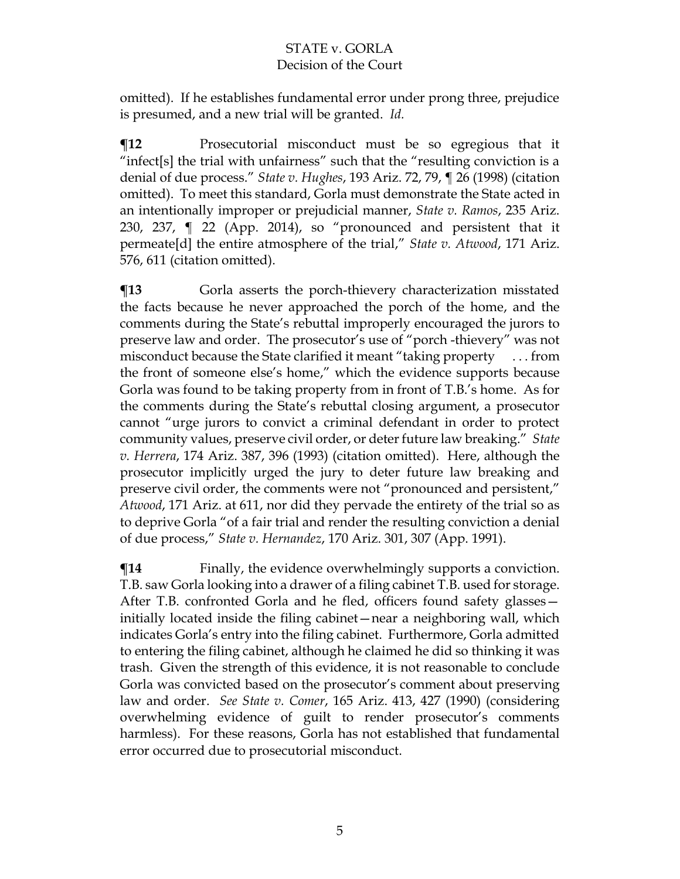omitted). If he establishes fundamental error under prong three, prejudice is presumed, and a new trial will be granted. *Id.*

**¶12** Prosecutorial misconduct must be so egregious that it "infect[s] the trial with unfairness" such that the "resulting conviction is a denial of due process." *State v. Hughes*, 193 Ariz. 72, 79, ¶ 26 (1998) (citation omitted). To meet this standard, Gorla must demonstrate the State acted in an intentionally improper or prejudicial manner, *State v. Ramos*, 235 Ariz. 230, 237, ¶ 22 (App. 2014), so "pronounced and persistent that it permeate[d] the entire atmosphere of the trial," *State v. Atwood*, 171 Ariz. 576, 611 (citation omitted).

**The Term** Gorla asserts the porch-thievery characterization misstated the facts because he never approached the porch of the home, and the comments during the State's rebuttal improperly encouraged the jurors to preserve law and order. The prosecutor's use of "porch -thievery" was not misconduct because the State clarified it meant "taking property . . . from the front of someone else's home," which the evidence supports because Gorla was found to be taking property from in front of T.B.'s home. As for the comments during the State's rebuttal closing argument, a prosecutor cannot "urge jurors to convict a criminal defendant in order to protect community values, preserve civil order, or deter future law breaking." *State v. Herrera*, 174 Ariz. 387, 396 (1993) (citation omitted). Here, although the prosecutor implicitly urged the jury to deter future law breaking and preserve civil order, the comments were not "pronounced and persistent," *Atwood*, 171 Ariz. at 611, nor did they pervade the entirety of the trial so as to deprive Gorla "of a fair trial and render the resulting conviction a denial of due process," *State v. Hernandez*, 170 Ariz. 301, 307 (App. 1991).

 $\P$ **14** Finally, the evidence overwhelmingly supports a conviction. T.B. saw Gorla looking into a drawer of a filing cabinet T.B. used for storage. After T.B. confronted Gorla and he fled, officers found safety glasses initially located inside the filing cabinet—near a neighboring wall, which indicates Gorla's entry into the filing cabinet. Furthermore, Gorla admitted to entering the filing cabinet, although he claimed he did so thinking it was trash. Given the strength of this evidence, it is not reasonable to conclude Gorla was convicted based on the prosecutor's comment about preserving law and order. *See State v. Comer*, 165 Ariz. 413, 427 (1990) (considering overwhelming evidence of guilt to render prosecutor's comments harmless). For these reasons, Gorla has not established that fundamental error occurred due to prosecutorial misconduct.